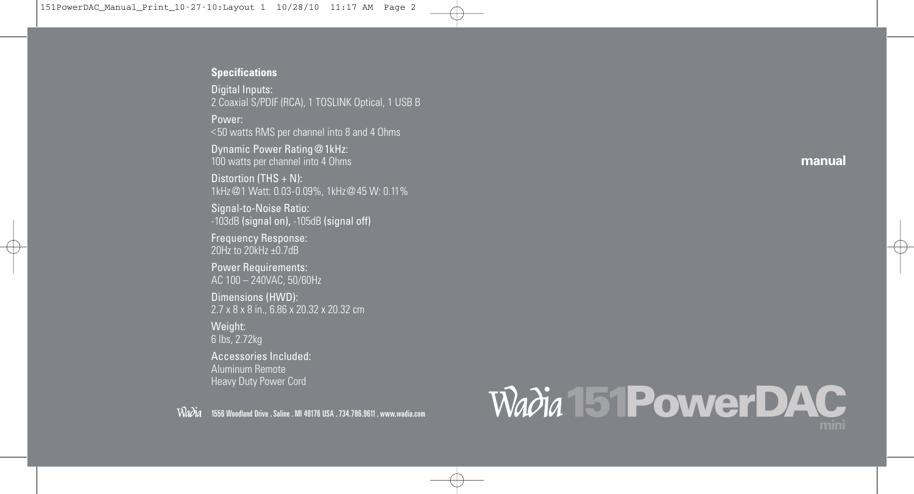#### **Specifications**

Digital Inputs: 2 Coaxial S/PDIF (RCA), 1 TOSLINK Optical, 1 USB B

Power: <50 watts RMS per channel into 8 and 4 Ohms

Dynamic Power Rating@1kHz: 100 watts per channel into 4 Ohms

Distortion (THS + N): 1kHz@1 Watt: 0.03-0.09%, 1kHz@45 W: 0.11%

Signal-to-Noise Ratio: -103dB (signal on), -105dB (signal off)

Frequency Response: 20Hz to 20kHz ±0.7dB

Power Requirements: AC 100 – 240VAC, 50/60Hz

Dimensions (HWD): 2.7 x 8 x 8 in., 6.86 x 20.32 x 20.32 cm

#### Weight:

6 lbs, 2.72kg

Accessories Included: Aluminum Remote Heavy Duty Power Cord

1556 Woodland Drive .Saline . MI 48176 USA .734.786.9611. www.wadia.com

# Wadia 151PowerDAC

**manual**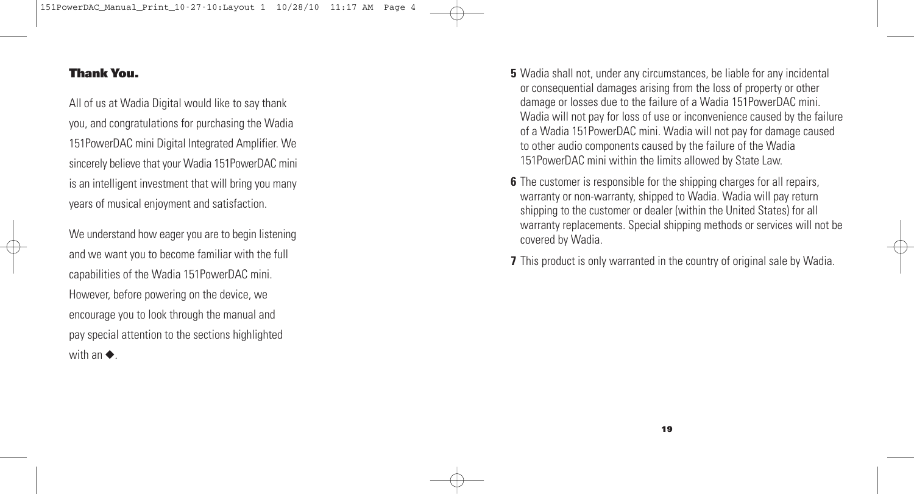#### **Thank You.**

All of us at Wadia Digital would like to say thank you, and congratulations for purchasing the Wadia 151PowerDAC mini Digital Integrated Amplifier. We sincerely believe that your Wadia 151PowerDAC mini is an intelligent investment that will bring you many years of musical enjoyment and satisfaction.

We understand how eager you are to begin listening and we want you to become familiar with the full capabilities of the Wadia 151PowerDAC mini. However, before powering on the device, we encourage you to look through the manual and pay special attention to the sections highlighted with an ◆*.*

- **5** Wadia shall not, under any circumstances, be liable for any incidental or consequential damages arising from the loss of property or other damage or losses due to the failure of a Wadia 151PowerDAC mini. Wadia will not pay for loss of use or inconvenience caused by the failure of a Wadia 151PowerDAC mini. Wadia will not pay for damage caused to other audio components caused by the failure of the Wadia 151PowerDAC mini within the limits allowed by State Law.
- **6** The customer is responsible for the shipping charges for all repairs, warranty or non-warranty, shipped to Wadia. Wadia will pay return shipping to the customer or dealer (within the United States) for all warranty replacements. Special shipping methods or services will not be covered by Wadia.

**7** This product is only warranted in the country of original sale by Wadia.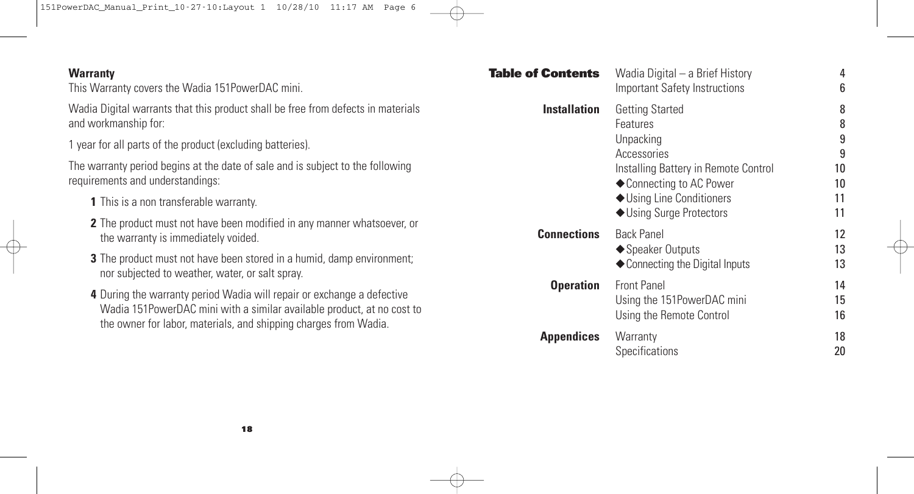151PowerDAC\_Manual\_Print\_10-27-10:Layout 1 10/28/10 11:17 AM Page 6

| <b>Warranty</b><br>This Warranty covers the Wadia 151PowerDAC mini.                                                                                                                                                  | <b>Table of Contents</b> | Wadia Digital - a Brief History<br><b>Important Safety Instructions</b>                                                                                         | 6              |
|----------------------------------------------------------------------------------------------------------------------------------------------------------------------------------------------------------------------|--------------------------|-----------------------------------------------------------------------------------------------------------------------------------------------------------------|----------------|
| Wadia Digital warrants that this product shall be free from defects in materials<br>and workmanship for:                                                                                                             | <b>Installation</b>      | <b>Getting Started</b><br>Features<br>Unpacking<br>Accessories<br>Installing Battery in Remote Control<br>◆ Connecting to AC Power<br>◆ Using Line Conditioners | 8<br>8         |
| 1 year for all parts of the product (excluding batteries).                                                                                                                                                           | <b>Connections</b>       |                                                                                                                                                                 | 9<br>9         |
| The warranty period begins at the date of sale and is subject to the following<br>requirements and understandings:                                                                                                   |                          |                                                                                                                                                                 | 10<br>10       |
| <b>1</b> This is a non transferable warranty.                                                                                                                                                                        |                          |                                                                                                                                                                 | 11             |
| 2 The product must not have been modified in any manner whatsoever, or<br>the warranty is immediately voided.                                                                                                        |                          | ◆ Using Surge Protectors<br><b>Back Panel</b><br>◆ Speaker Outputs<br>◆ Connecting the Digital Inputs                                                           | 11<br>12       |
| 3 The product must not have been stored in a humid, damp environment;<br>nor subjected to weather, water, or salt spray.                                                                                             | <b>Operation</b>         |                                                                                                                                                                 | 13<br>13       |
| 4 During the warranty period Wadia will repair or exchange a defective<br>Wadia 151PowerDAC mini with a similar available product, at no cost to<br>the owner for labor, materials, and shipping charges from Wadia. |                          | <b>Front Panel</b><br>Using the 151PowerDAC mini<br>Using the Remote Control                                                                                    | 14<br>15<br>16 |
|                                                                                                                                                                                                                      | <b>Appendices</b>        | Warranty<br>Specifications                                                                                                                                      | 18<br>20       |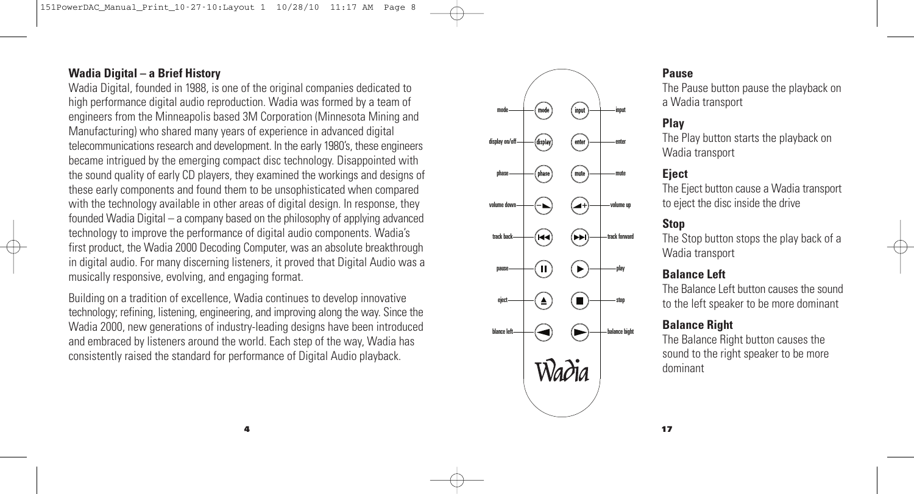## **Wadia Digital – a Brief History**

Wadia Digital, founded in 1988, is one of the original companies dedicated to high performance digital audio reproduction. Wadia was formed by a team of engineers from the Minneapolis based 3M Corporation (Minnesota Mining and Manufacturing) who shared many years of experience in advanced digital telecommunications research and development. In the early 1980's, these engineers became intrigued by the emerging compact disc technology. Disappointed with the sound quality of early CD players, they examined the workings and designs of these early components and found them to be unsophisticated when compared with the technology available in other areas of digital design. In response, they founded Wadia Digital – a company based on the philosophy of applying advanced technology to improve the performance of digital audio components. Wadia's first product, the Wadia 2000 Decoding Computer, was an absolute breakthrough in digital audio. For many discerning listeners, it proved that Digital Audio was a musically responsive, evolving, and engaging format.

Building on a tradition of excellence, Wadia continues to develop innovative technology; refining, listening, engineering, and improving along the way. Since the Wadia 2000, new generations of industry-leading designs have been introduced and embraced by listeners around the world. Each step of the way, Wadia has consistently raised the standard for performance of Digital Audio playback.



#### **Pause**

The Pause button pause the playback on a Wadia transport

#### **Play**

The Play button starts the playback on Wadia transport

#### **Eject**

The Eject button cause a Wadia transport to eject the disc inside the drive

#### **Stop**

The Stop button stops the play back of a Wadia transport

#### **Balance Left**

The Balance Left button causes the sound to the left speaker to be more dominant

#### **Balance Right**

The Balance Right button causes the sound to the right speaker to be more dominant

**17**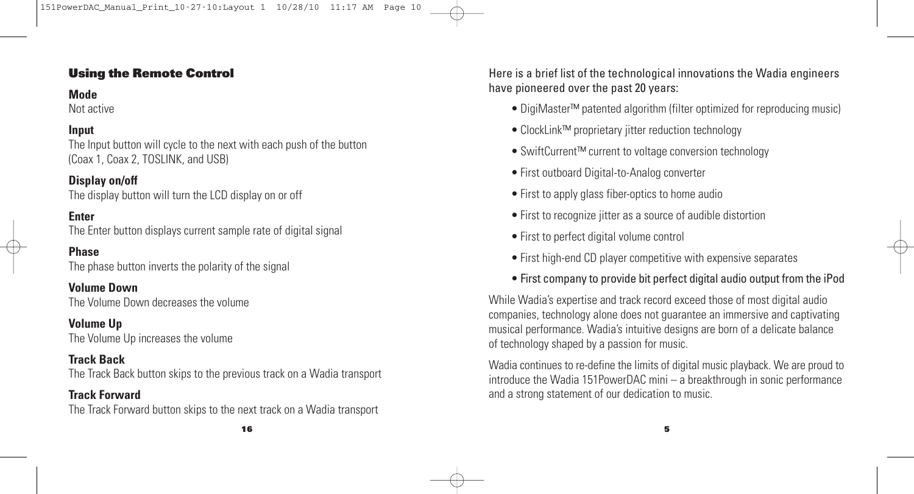# **Using the Remote Control**

## **Mode**

Not active

# **Input**

The Input button will cycle to the next with each push of the button (Coax 1, Coax 2, TOSLINK, and USB)

#### **Display on/off**

The display button will turn the LCD display on or off

#### **Enter**

The Enter button displays current sample rate of digital signal

#### **Phase**

The phase button inverts the polarity of the signal

**Volume Down** The Volume Down decreases the volume

#### **Volume Up**

The Volume Up increases the volume

## **Track Back**

The Track Back button skips to the previous track on a Wadia transport

## **Track Forward**

The Track Forward button skips to the next track on a Wadia transport

**16**

Here is a brief list of the technological innovations the Wadia engineers have pioneered over the past 20 years:

- DigiMaster™ patented algorithm (filter optimized for reproducing music)
- ClockLink™ proprietary jitter reduction technology
- SwiftCurrent™ current to voltage conversion technology
- First outboard Digital-to-Analog converter
- First to apply glass fiber-optics to home audio
- First to recognize jitter as a source of audible distortion
- First to perfect digital volume control
- First high-end CD player competitive with expensive separates
- First company to provide bit perfect digital audio output from the iPod

While Wadia's expertise and track record exceed those of most digital audio companies, technology alone does not guarantee an immersive and captivating musical performance. Wadia's intuitive designs are born of a delicate balance of technology shaped by a passion for music.

Wadia continues to re-define the limits of digital music playback. We are proud to introduce the Wadia 151PowerDAC mini – a breakthrough in sonic performance and a strong statement of our dedication to music.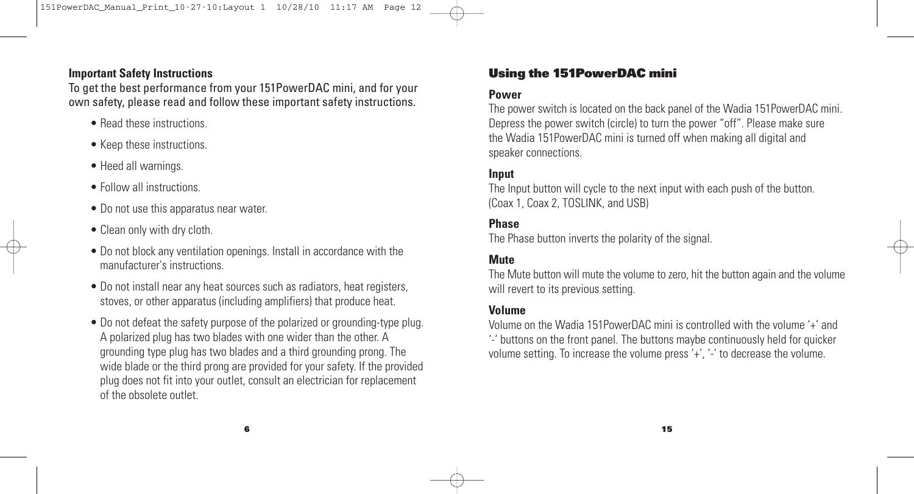# **Important Safety Instructions**

To get the best performance from your 151PowerDAC mini, and for your own safety, please read and follow these important safety instructions.

- Read these instructions.
- Keep these instructions.
- Heed all warnings.
- Follow all instructions.
- Do not use this apparatus near water.
- Clean only with dry cloth.
- Do not block any ventilation openings. Install in accordance with the manufacturer's instructions.
- Do not install near any heat sources such as radiators, heat registers, stoves, or other apparatus (including amplifiers) that produce heat.
- Do not defeat the safety purpose of the polarized or grounding-type plug. A polarized plug has two blades with one wider than the other. A grounding type plug has two blades and a third grounding prong. The wide blade or the third prong are provided for your safety. If the provided plug does not fit into your outlet, consult an electrician for replacement of the obsolete outlet.

# **Using the 151PowerDAC mini**

#### **Power**

The power switch is located on the back panel of the Wadia 151PowerDAC mini. Depress the power switch (circle) to turn the power "off". Please make sure the Wadia 151PowerDAC mini is turned off when making all digital and speaker connections.

#### **Input**

The Input button will cycle to the next input with each push of the button. (Coax 1, Coax 2, TOSLINK, and USB)

## **Phase**

The Phase button inverts the polarity of the signal.

# **Mute**

The Mute button will mute the volume to zero, hit the button again and the volume will revert to its previous setting.

#### **Volume**

Volume on the Wadia 151PowerDAC mini is controlled with the volume '+' and '-' buttons on the front panel. The buttons maybe continuously held for quicker volume setting. To increase the volume press '+', '-' to decrease the volume.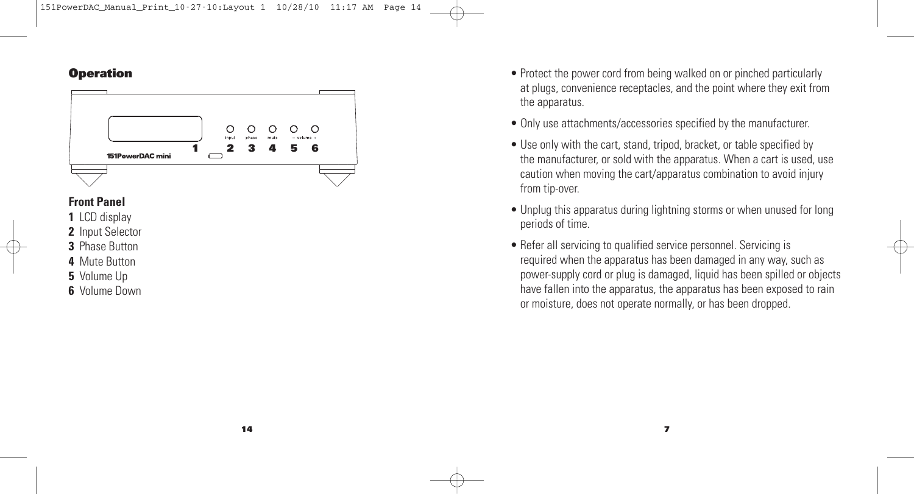#### **Operation**



## **Front Panel**

- **1** LCD display
- **2** Input Selector
- **3** Phase Button
- **4** Mute Button
- **5** Volume Up
- **6** Volume Down
- Protect the power cord from being walked on or pinched particularly at plugs, convenience receptacles, and the point where they exit from the apparatus.
- Only use attachments/accessories specified by the manufacturer.
- Use only with the cart, stand, tripod, bracket, or table specified by the manufacturer, or sold with the apparatus. When a cart is used, use caution when moving the cart/apparatus combination to avoid injury from tip-over.
- Unplug this apparatus during lightning storms or when unused for long periods of time.
- Refer all servicing to qualified service personnel. Servicing is required when the apparatus has been damaged in any way, such as power-supply cord or plug is damaged, liquid has been spilled or objects have fallen into the apparatus, the apparatus has been exposed to rain or moisture, does not operate normally, or has been dropped.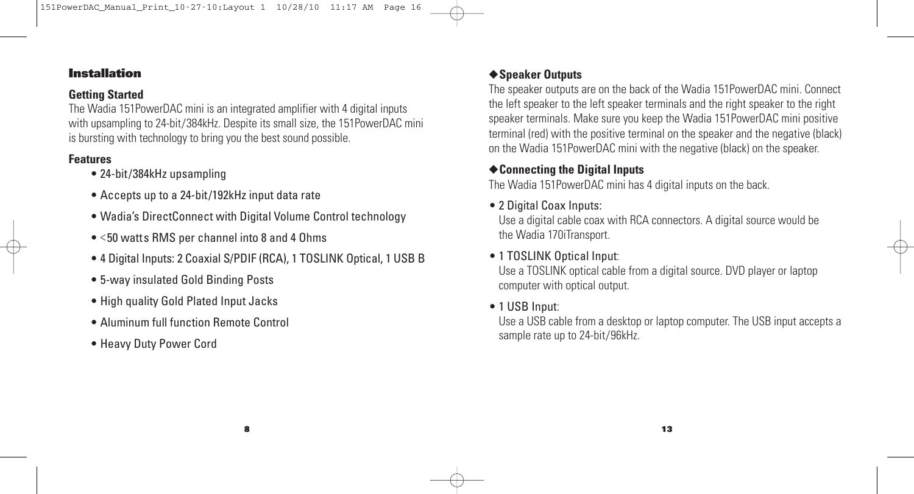## **Installation**

## **Getting Started**

The Wadia 151PowerDAC mini is an integrated amplifier with 4 digital inputs with upsampling to 24-bit/384kHz. Despite its small size, the 151PowerDAC mini is bursting with technology to bring you the best sound possible.

#### **Features**

- 24-bit/384kHz upsampling
- Accepts up to a 24-bit/192kHz input data rate
- Wadia's DirectConnect with Digital Volume Control technology
- <50 watts RMS per channel into 8 and 4 Ohms
- 4 Digital Inputs: 2 Coaxial S/PDIF (RCA), 1 TOSLINK Optical, 1 USB B
- 5-way insulated Gold Binding Posts
- High quality Gold Plated Input Jacks
- Aluminum full function Remote Control
- Heavy Duty Power Cord

# ◆**Speaker Outputs**

The speaker outputs are on the back of the Wadia 151PowerDAC mini. Connect the left speaker to the left speaker terminals and the right speaker to the right speaker terminals. Make sure you keep the Wadia 151PowerDAC mini positive terminal (red) with the positive terminal on the speaker and the negative (black) on the Wadia 151PowerDAC mini with the negative (black) on the speaker.

# ◆**Connecting the Digital Inputs**

The Wadia 151PowerDAC mini has 4 digital inputs on the back.

# • 2 Digital Coax Inputs:

Use a digital cable coax with RCA connectors. A digital source would be the Wadia 170iTransport.

# • 1 TOSLINK Optical Input:

Use a TOSLINK optical cable from a digital source. DVD player or laptop computer with optical output.

# • 1 USB Input:

Use a USB cable from a desktop or laptop computer. The USB input accepts a sample rate up to 24-bit/96kHz.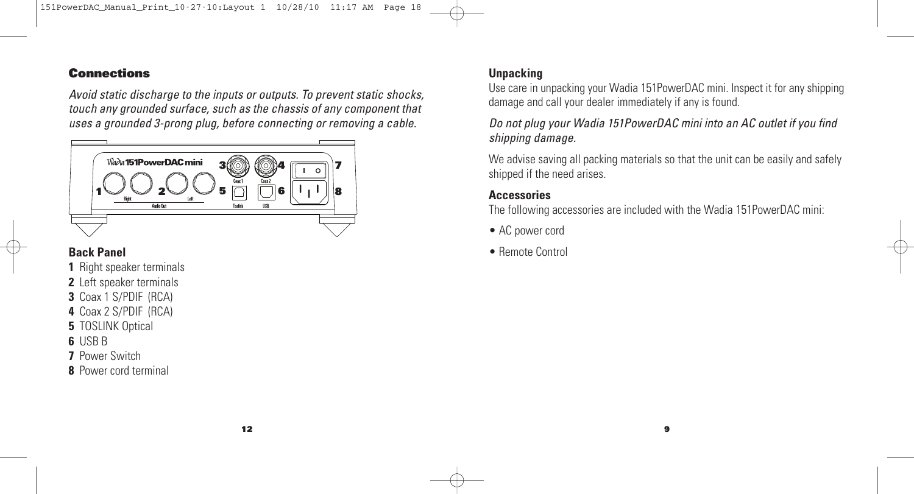#### **Connections**

*Avoid static discharge to the inputs or outputs. To prevent static shocks, touch any grounded surface, such as the chassis of any component that uses a grounded 3-prong plug, before connecting or removing a cable.*



# **Back Panel**

- **1** Right speaker terminals
- **2** Left speaker terminals
- **3** Coax 1 S/PDIF (RCA)
- **4** Coax 2 S/PDIF (RCA)
- **5** TOSLINK Optical
- **6** USB B
- **7** Power Switch
- **8** Power cord terminal

# **Unpacking**

Use care in unpacking your Wadia 151PowerDAC mini. Inspect it for any shipping damage and call your dealer immediately if any is found.

*Do not plug your Wadia 151PowerDAC mini into an AC outlet if you find shipping damage.*

We advise saving all packing materials so that the unit can be easily and safely shipped if the need arises.

# **Accessories**

The following accessories are included with the Wadia 151PowerDAC mini:

- AC power cord
- Remote Control